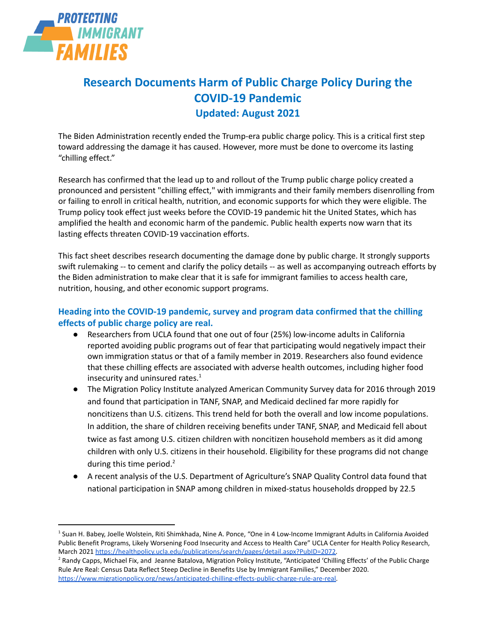

# **Research Documents Harm of Public Charge Policy During the COVID-19 Pandemic Updated: August 2021**

The Biden Administration recently ended the Trump-era public charge policy. This is a critical first step toward addressing the damage it has caused. However, more must be done to overcome its lasting "chilling effect."

Research has confirmed that the lead up to and rollout of the Trump public charge policy created a pronounced and persistent "chilling effect," with immigrants and their family members disenrolling from or failing to enroll in critical health, nutrition, and economic supports for which they were eligible. The Trump policy took effect just weeks before the COVID-19 pandemic hit the United States, which has amplified the health and economic harm of the pandemic. Public health experts now warn that its lasting effects threaten COVID-19 vaccination efforts.

This fact sheet describes research documenting the damage done by public charge. It strongly supports swift rulemaking -- to cement and clarify the policy details -- as well as accompanying outreach efforts by the Biden administration to make clear that it is safe for immigrant families to access health care, nutrition, housing, and other economic support programs.

## **Heading into the COVID-19 pandemic, survey and program data confirmed that the chilling effects of public charge policy are real.**

- Researchers from UCLA found that one out of four (25%) low-income adults in California reported avoiding public programs out of fear that participating would negatively impact their own immigration status or that of a family member in 2019. Researchers also found evidence that these chilling effects are associated with adverse health outcomes, including higher food insecurity and uninsured rates. 1
- The Migration Policy Institute analyzed American Community Survey data for 2016 through 2019 and found that participation in TANF, SNAP, and Medicaid declined far more rapidly for noncitizens than U.S. citizens. This trend held for both the overall and low income populations. In addition, the share of children receiving benefits under TANF, SNAP, and Medicaid fell about twice as fast among U.S. citizen children with noncitizen household members as it did among children with only U.S. citizens in their household. Eligibility for these programs did not change during this time period.<sup>2</sup>
- A recent analysis of the U.S. Department of Agriculture's SNAP Quality Control data found that national participation in SNAP among children in mixed-status households dropped by 22.5

<sup>&</sup>lt;sup>1</sup> Suan H. Babey, Joelle Wolstein, Riti Shimkhada, Nine A. Ponce, "One in 4 Low-Income Immigrant Adults in California Avoided Public Benefit Programs, Likely Worsening Food Insecurity and Access to Health Care" UCLA Center for Health Policy Research, March 2021 [https://healthpolicy.ucla.edu/publications/search/pages/detail.aspx?PubID=2072.](https://healthpolicy.ucla.edu/publications/search/pages/detail.aspx?PubID=2072)

<sup>&</sup>lt;sup>2</sup> Randy Capps, Michael Fix, and Jeanne Batalova, Migration Policy Institute, "Anticipated 'Chilling Effects' of the Public Charge Rule Are Real: Census Data Reflect Steep Decline in Benefits Use by Immigrant Families," December 2020. [https://www.migrationpolicy.org/news/anticipated-chilling-effects-public-charge-rule-are-real.](https://www.migrationpolicy.org/news/anticipated-chilling-effects-public-charge-rule-are-real)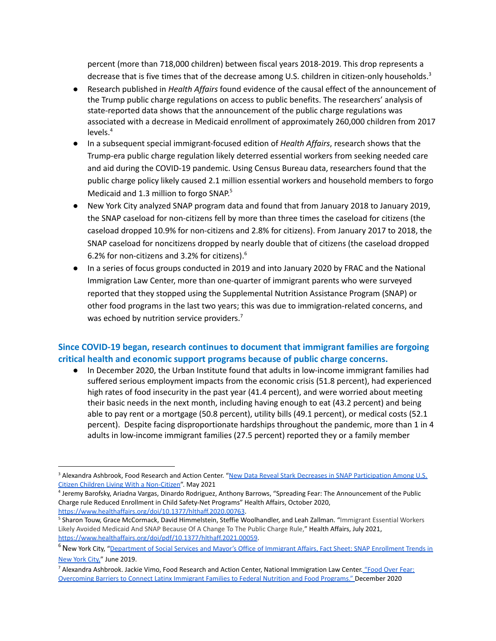percent (more than 718,000 children) between fiscal years 2018-2019. This drop represents a decrease that is five times that of the decrease among U.S. children in citizen-only households.<sup>3</sup>

- Research published in *Health Affairs* found evidence of the causal effect of the announcement of the Trump public charge regulations on access to public benefits. The researchers' analysis of state-reported data shows that the announcement of the public charge regulations was associated with a decrease in Medicaid enrollment of approximately 260,000 children from 2017 levels. 4
- In a subsequent special immigrant-focused edition of *Health Affairs*, research shows that the Trump-era public charge regulation likely deterred essential workers from seeking needed care and aid during the COVID-19 pandemic. Using Census Bureau data, researchers found that the public charge policy likely caused 2.1 million essential workers and household members to forgo Medicaid and 1.3 million to forgo SNAP.<sup>5</sup>
- New York City analyzed SNAP program data and found that from January 2018 to January 2019, the SNAP caseload for non-citizens fell by more than three times the caseload for citizens (the caseload dropped 10.9% for non-citizens and 2.8% for citizens). From January 2017 to 2018, the SNAP caseload for noncitizens dropped by nearly double that of citizens (the caseload dropped 6.2% for non-citizens and 3.2% for citizens). 6
- In a series of focus groups conducted in 2019 and into January 2020 by FRAC and the National Immigration Law Center, more than one-quarter of immigrant parents who were surveyed reported that they stopped using the Supplemental Nutrition Assistance Program (SNAP) or other food programs in the last two years; this was due to immigration-related concerns, and was echoed by nutrition service providers.<sup>7</sup>

### **Since COVID-19 began, research continues to document that immigrant families are forgoing critical health and economic support programs because of public charge concerns.**

● In December 2020, the Urban Institute found that adults in low-income immigrant families had suffered serious employment impacts from the economic crisis (51.8 percent), had experienced high rates of food insecurity in the past year (41.4 percent), and were worried about meeting their basic needs in the next month, including having enough to eat (43.2 percent) and being able to pay rent or a mortgage (50.8 percent), utility bills (49.1 percent), or medical costs (52.1 percent). Despite facing disproportionate hardships throughout the pandemic, more than 1 in 4 adults in low-income immigrant families (27.5 percent) reported they or a family member

<sup>&</sup>lt;sup>3</sup> Alexandra Ashbrook, Food Research and Action Center. "[New Data Reveal Stark Decreases in SNAP Participation Among U.S.](https://frac.org/wp-content/uploads/SNAP-Participation-Among-U.S.-Citizen-Children.pdf) [Citizen Children Living With a Non-Citizen"](https://frac.org/wp-content/uploads/SNAP-Participation-Among-U.S.-Citizen-Children.pdf). May 2021

<sup>4</sup> Jeremy Barofsky, Ariadna Vargas, Dinardo Rodriguez, Anthony Barrows, "Spreading Fear: The Announcement of the Public Charge rule Reduced Enrollment in Child Safety-Net Programs" Health Affairs, October 2020, <https://www.healthaffairs.org/doi/10.1377/hlthaff.2020.00763>.

<sup>&</sup>lt;sup>5</sup> Sharon Touw, Grace McCormack, David Himmelstein, Steffie Woolhandler, and Leah Zallman. "Immigrant Essential Workers Likely Avoided Medicaid And SNAP Because Of A Change To The Public Charge Rule," Health Affairs, July 2021, [https://www.healthaffairs.org/doi/pdf/10.1377/hlthaff.2021.00059.](https://www.healthaffairs.org/doi/pdf/10.1377/hlthaff.2021.00059)

<sup>&</sup>lt;sup>6</sup> New York City, "Department of Social Services and [Mayor's Office of Immigrant Affairs, Fact Sheet:](https://www1.nyc.gov/assets/immigrants/downloads/pdf/Fact-Sheet-June-2019.pdf) SNAP Enrollment Trends in [New York City,"](https://www1.nyc.gov/assets/immigrants/downloads/pdf/Fact-Sheet-June-2019.pdf) June 2019.

<sup>&</sup>lt;sup>7</sup> Alexandra Ashbrook. Jackie Vimo, Food Research and Action Center, National Immigration Law Center. "Food [Over Fear:](https://frac.org/wp-content/uploads/NILC_Latinx-Immigrant-Families.pdf) [Overcoming Barriers to Connect Latinx Immigrant Families](https://frac.org/wp-content/uploads/NILC_Latinx-Immigrant-Families.pdf) to Federal Nutrition and Food Programs." December 2020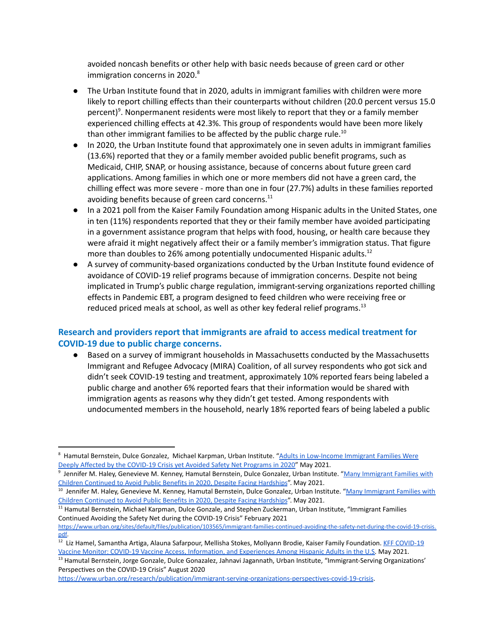avoided noncash benefits or other help with basic needs because of green card or other immigration concerns in 2020.<sup>8</sup>

- The Urban Institute found that in 2020, adults in immigrant families with children were more likely to report chilling effects than their counterparts without children (20.0 percent versus 15.0 percent)<sup>9</sup>. Nonpermanent residents were most likely to report that they or a family member experienced chilling effects at 42.3%. This group of respondents would have been more likely than other immigrant families to be affected by the public charge rule.<sup>10</sup>
- In 2020, the Urban Institute found that approximately one in seven adults in immigrant families (13.6%) reported that they or a family member avoided public benefit programs, such as Medicaid, CHIP, SNAP, or housing assistance, because of concerns about future green card applications. Among families in which one or more members did not have a green card, the chilling effect was more severe - more than one in four (27.7%) adults in these families reported avoiding benefits because of green card concerns.<sup>11</sup>
- In a 2021 poll from the Kaiser Family Foundation among Hispanic adults in the United States, one in ten (11%) respondents reported that they or their family member have avoided participating in a government assistance program that helps with food, housing, or health care because they were afraid it might negatively affect their or a family member's immigration status. That figure more than doubles to 26% among potentially undocumented Hispanic adults.<sup>12</sup>
- A survey of community-based organizations conducted by the Urban Institute found evidence of avoidance of COVID-19 relief programs because of immigration concerns. Despite not being implicated in Trump's public charge regulation, immigrant-serving organizations reported chilling effects in Pandemic EBT, a program designed to feed children who were receiving free or reduced priced meals at school, as well as other key federal relief programs.<sup>13</sup>

# **Research and providers report that immigrants are afraid to access medical treatment for COVID-19 due to public charge concerns.**

● Based on a survey of immigrant households in Massachusetts conducted by the Massachusetts Immigrant and Refugee Advocacy (MIRA) Coalition, of all survey respondents who got sick and didn't seek COVID-19 testing and treatment, approximately 10% reported fears being labeled a public charge and another 6% reported fears that their information would be shared with immigration agents as reasons why they didn't get tested. Among respondents with undocumented members in the household, nearly 18% reported fears of being labeled a public

<sup>&</sup>lt;sup>8</sup> Hamutal Bernstein, Dulce Gonzalez, Michael Karpman, Urban Institute. "[Adults in Low-Income Immigrant Families Were](https://www.urban.org/sites/default/files/publication/104280/adults-in-low-income-immigrant-families-deeply-affected-by-pandemic-yet-avoided-safety-net_0.pdf) [Deeply Affected by the COVID-19 Crisis yet Avoided](https://www.urban.org/sites/default/files/publication/104280/adults-in-low-income-immigrant-families-deeply-affected-by-pandemic-yet-avoided-safety-net_0.pdf) Safety Net Programs in 2020" May 2021.

<sup>&</sup>lt;sup>9</sup> Jennifer M. Haley, Genevieve M. Kenney, Hamutal Bernstein, Dulce Gonzalez, Urban Institute. "<u>Many [Immigrant Families with](https://www.urban.org/research/publication/many-immigrant-families-children-continued-avoid-public-benefits-2020-despite-facing-hardships)</u> [Children Continued to Avoid Public Benefits in 2020,](https://www.urban.org/research/publication/many-immigrant-families-children-continued-avoid-public-benefits-2020-despite-facing-hardships) Despite Facing Hardships". May 2021.

<sup>&</sup>lt;sup>10</sup> Jennifer M. Haley, Genevieve M. Kenney, Hamutal Bernstein, Dulce Gonzalez, Urban Institute. "<u>Many [Immigrant Families with](https://www.urban.org/research/publication/many-immigrant-families-children-continued-avoid-public-benefits-2020-despite-facing-hardships)</u> [Children Continued to Avoid Public Benefits in 2020,](https://www.urban.org/research/publication/many-immigrant-families-children-continued-avoid-public-benefits-2020-despite-facing-hardships) Despite Facing Hardships". May 2021.

<sup>&</sup>lt;sup>11</sup> Hamutal Bernstein, Michael Karpman, Dulce Gonzale, and Stephen Zuckerman, Urban Institute, "Immigrant Families Continued Avoiding the Safety Net during the COVID-19 Crisis" February 2021

[https://www.urban.org/sites/default/files/publication/103565/immigrant-families-continued-avoiding-the-safety-net-during-the-covid-19-crisis.](https://www.urban.org/sites/default/files/publication/103565/immigrant-families-continued-avoiding-the-safety-net-during-the-covid-19-crisis.pdf) [pdf.](https://www.urban.org/sites/default/files/publication/103565/immigrant-families-continued-avoiding-the-safety-net-during-the-covid-19-crisis.pdf)

<sup>&</sup>lt;sup>12</sup> Liz Hamel, Samantha Artiga, Alauna Safarpour, Mellisha Stokes, Mollyann Brodie, Kaiser Family Foundation. [KFF COVID-19](https://www.kff.org/coronavirus-covid-19/poll-finding/kff-covid-19-vaccine-monitor-access-information-experiences-hispanic-adults/view/footnotes/) [Vaccine Monitor: COVID-19 Vaccine Access, Information,](https://www.kff.org/coronavirus-covid-19/poll-finding/kff-covid-19-vaccine-monitor-access-information-experiences-hispanic-adults/view/footnotes/) and Experiences Among Hispanic Adults in the U.S. May 2021.

<sup>&</sup>lt;sup>13</sup> Hamutal Bernstein, Jorge Gonzale, Dulce Gonazalez, Jahnavi Jagannath, Urban Institute, "Immigrant-Serving Organizations' Perspectives on the COVID-19 Crisis" August 2020

<https://www.urban.org/research/publication/immigrant-serving-organizations-perspectives-covid-19-crisis>.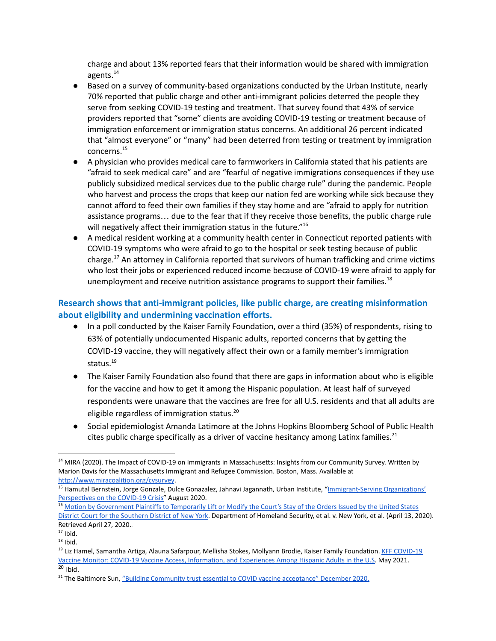charge and about 13% reported fears that their information would be shared with immigration agents. 14

- Based on a survey of community-based organizations conducted by the Urban Institute, nearly 70% reported that public charge and other anti-immigrant policies deterred the people they serve from seeking COVID-19 testing and treatment. That survey found that 43% of service providers reported that "some" clients are avoiding COVID-19 testing or treatment because of immigration enforcement or immigration status concerns. An additional 26 percent indicated that "almost everyone" or "many" had been deterred from testing or treatment by immigration concerns. 15
- A physician who provides medical care to farmworkers in California stated that his patients are "afraid to seek medical care" and are "fearful of negative immigrations consequences if they use publicly subsidized medical services due to the public charge rule" during the pandemic. People who harvest and process the crops that keep our nation fed are working while sick because they cannot afford to feed their own families if they stay home and are "afraid to apply for nutrition assistance programs… due to the fear that if they receive those benefits, the public charge rule will negatively affect their immigration status in the future."<sup>16</sup>
- A medical resident working at a community health center in Connecticut reported patients with COVID-19 symptoms who were afraid to go to the hospital or seek testing because of public charge. <sup>17</sup> An attorney in California reported that survivors of human trafficking and crime victims who lost their jobs or experienced reduced income because of COVID-19 were afraid to apply for unemployment and receive nutrition assistance programs to support their families.<sup>18</sup>

# **Research shows that anti-immigrant policies, like public charge, are creating misinformation about eligibility and undermining vaccination efforts.**

- In a poll conducted by the Kaiser Family Foundation, over a third (35%) of respondents, rising to 63% of potentially undocumented Hispanic adults, reported concerns that by getting the COVID-19 vaccine, they will negatively affect their own or a family member's immigration status. 19
- The Kaiser Family Foundation also found that there are gaps in information about who is eligible for the vaccine and how to get it among the Hispanic population. At least half of surveyed respondents were unaware that the vaccines are free for all U.S. residents and that all adults are eligible regardless of immigration status.<sup>20</sup>
- Social epidemiologist Amanda Latimore at the Johns Hopkins Bloomberg School of Public Health cites public charge specifically as a driver of vaccine hesitancy among Latinx families.<sup>21</sup>

<sup>&</sup>lt;sup>14</sup> MIRA (2020). The Impact of COVID-19 on Immigrants in Massachusetts: Insights from our Community Survey. Written by Marion Davis for the Massachusetts Immigrant and Refugee Commission. Boston, Mass. Available at <http://www.miracoalition.org/cvsurvey>.

<sup>&</sup>lt;sup>15</sup> Hamutal Bernstein, Jorge Gonzale, Dulce Gonazalez, Jahnavi Jagannath, Urban Institute, "[Immigrant-Serving](https://www.urban.org/research/publication/immigrant-serving-organizations-perspectives-covid-19-crisis) Organizations' [Perspectives on the COVID-19 Crisis"](https://www.urban.org/research/publication/immigrant-serving-organizations-perspectives-covid-19-crisis) August 2020.

<sup>&</sup>lt;sup>16</sup> [Motion by Government Plaintiffs to Temporarily Lift](http://supremecourt.gov/DocketPDF/19/19A785/141515/20200413153014307_19A785%20Motion%20to%20Temporarily%20Lift%20or%20Modify%20Stay.pdf) or Modify the Court's Stay of the Orders Issued by the United States [District Court for the Southern District of New York](http://supremecourt.gov/DocketPDF/19/19A785/141515/20200413153014307_19A785%20Motion%20to%20Temporarily%20Lift%20or%20Modify%20Stay.pdf). Department of Homeland Security, et al. v. New York, et al. (April 13, 2020). Retrieved April 27, 2020..

 $17$  Ibid.

 $18$  Ibid.

 $^{20}$  Ibid. <sup>19</sup> Liz Hamel, Samantha Artiga, Alauna Safarpour, Mellisha Stokes, Mollyann Brodie, Kaiser Family Foundation. [KFF COVID-19](https://www.kff.org/coronavirus-covid-19/poll-finding/kff-covid-19-vaccine-monitor-access-information-experiences-hispanic-adults/view/footnotes/) [Vaccine Monitor: COVID-19 Vaccine Access, Information,](https://www.kff.org/coronavirus-covid-19/poll-finding/kff-covid-19-vaccine-monitor-access-information-experiences-hispanic-adults/view/footnotes/) and Experiences Among Hispanic Adults in the U.S. May 2021.

<sup>&</sup>lt;sup>21</sup> The Baltimore Sun, "Building Community trust essential [to COVID vaccine acceptance" December 2020.](https://www.baltimoresun.com/opinion/op-ed/bs-ed-op-1206-vaccine-acceptance-20201204-vqyht6ux2jemjaodjlpfcmjv7y-story.html)